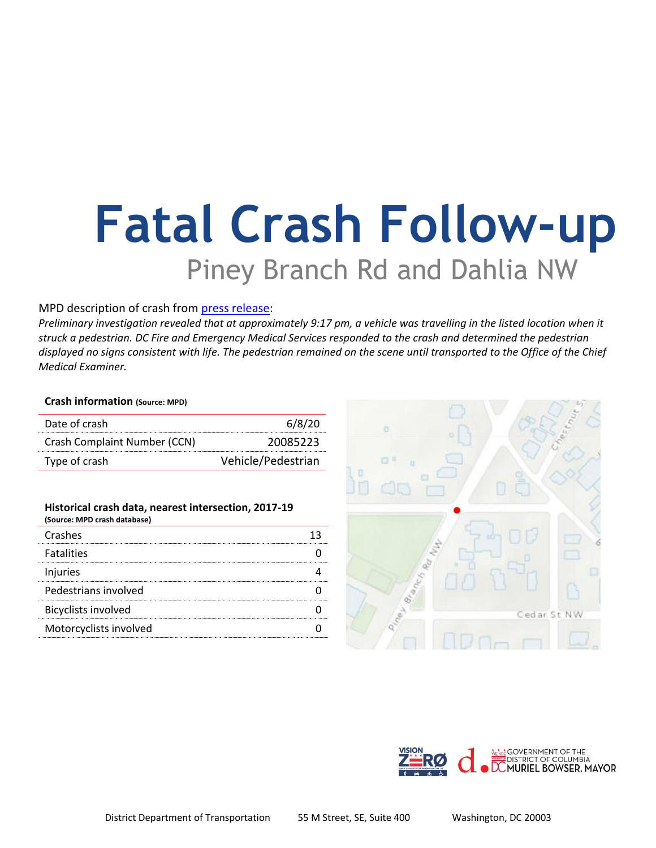# **Fatal Crash Follow-up** Piney Branch Rd and Dahlia NW

#### MPD description of crash from [press release:](https://mpdc.dc.gov/release/traffic-fatality-7000-block-piney-branch-road-northwest)

*Preliminary investigation revealed that at approximately 9:17 pm, a vehicle was travelling in the listed location when it struck a pedestrian. DC Fire and Emergency Medical Services responded to the crash and determined the pedestrian displayed no signs consistent with life. The pedestrian remained on the scene until transported to the Office of the Chief Medical Examiner.*

#### **Crash information (Source: MPD)**

| Date of crash                | 6/8/20             |
|------------------------------|--------------------|
| Crash Complaint Number (CCN) | 20085223           |
| Type of crash                | Vehicle/Pedestrian |

| Historical crash data, nearest intersection, 2017-19<br>(Source: MPD crash database) |  |
|--------------------------------------------------------------------------------------|--|
| Crashes                                                                              |  |
| <b>Fatalities</b>                                                                    |  |
| Injuries                                                                             |  |
| Pedestrians involved                                                                 |  |
| <b>Bicyclists involved</b>                                                           |  |
| Motorcyclists involved                                                               |  |
|                                                                                      |  |